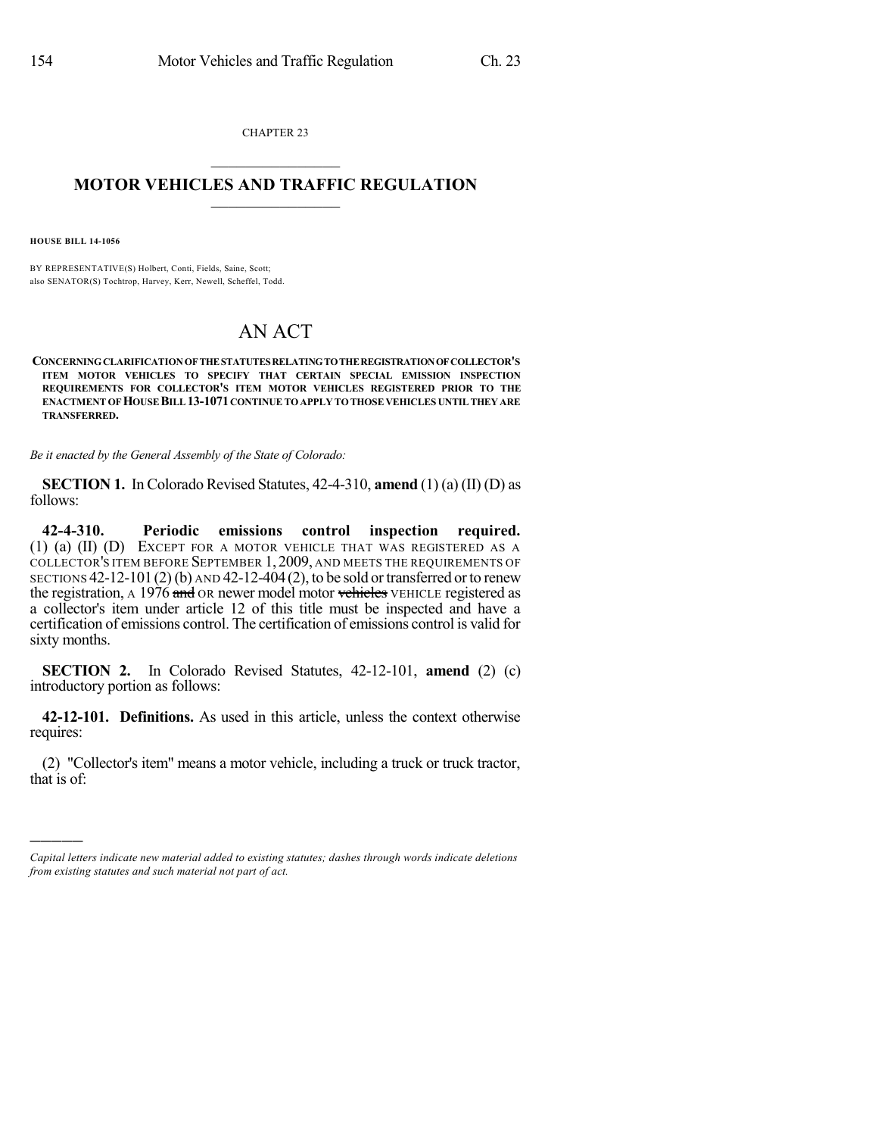CHAPTER 23  $\mathcal{L}_\text{max}$  . The set of the set of the set of the set of the set of the set of the set of the set of the set of the set of the set of the set of the set of the set of the set of the set of the set of the set of the set

## **MOTOR VEHICLES AND TRAFFIC REGULATION**  $\frac{1}{2}$  ,  $\frac{1}{2}$  ,  $\frac{1}{2}$  ,  $\frac{1}{2}$  ,  $\frac{1}{2}$  ,  $\frac{1}{2}$  ,  $\frac{1}{2}$

**HOUSE BILL 14-1056**

)))))

BY REPRESENTATIVE(S) Holbert, Conti, Fields, Saine, Scott; also SENATOR(S) Tochtrop, Harvey, Kerr, Newell, Scheffel, Todd.

## AN ACT

**CONCERNINGCLARIFICATIONOFTHESTATUTESRELATINGTOTHEREGISTRATIONOFCOLLECTOR'S ITEM MOTOR VEHICLES TO SPECIFY THAT CERTAIN SPECIAL EMISSION INSPECTION REQUIREMENTS FOR COLLECTOR'S ITEM MOTOR VEHICLES REGISTERED PRIOR TO THE ENACTMENT OFHOUSEBILL13-1071CONTINUETOAPPLY TOTHOSE VEHICLES UNTILTHEY ARE TRANSFERRED.**

*Be it enacted by the General Assembly of the State of Colorado:*

**SECTION 1.** In Colorado Revised Statutes, 42-4-310, **amend** (1) (a) (II) (D) as follows:

**42-4-310. Periodic emissions control inspection required.** (1) (a) (II) (D) EXCEPT FOR A MOTOR VEHICLE THAT WAS REGISTERED AS A COLLECTOR'S ITEM BEFORE SEPTEMBER 1, 2009, AND MEETS THE REQUIREMENTS OF SECTIONS  $42-12-101(2)$  (b) AND  $42-12-404(2)$ , to be sold or transferred or to renew the registration, A 1976 and OR newer model motor vehicles VEHICLE registered as a collector's item under article 12 of this title must be inspected and have a certification of emissions control. The certification of emissions control is valid for sixty months.

**SECTION 2.** In Colorado Revised Statutes, 42-12-101, **amend** (2) (c) introductory portion as follows:

**42-12-101. Definitions.** As used in this article, unless the context otherwise requires:

(2) "Collector's item" means a motor vehicle, including a truck or truck tractor, that is of:

*Capital letters indicate new material added to existing statutes; dashes through words indicate deletions from existing statutes and such material not part of act.*